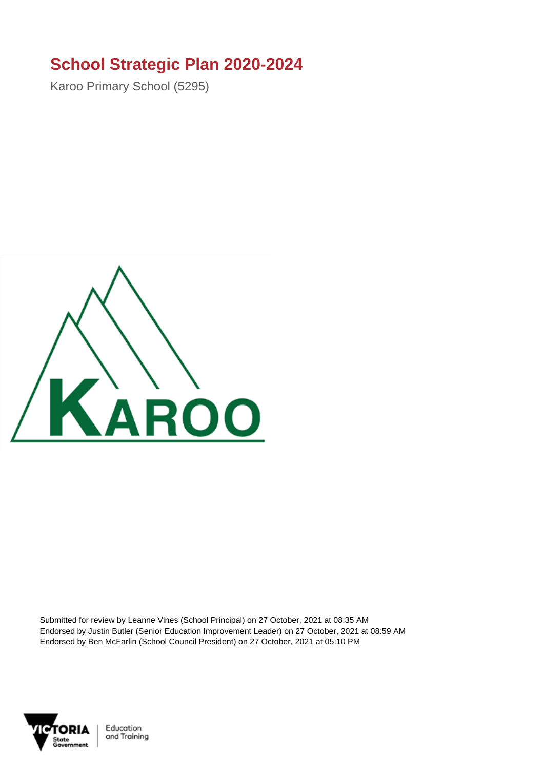## **School Strategic Plan 2020-2024**

Karoo Primary School (5295)



Submitted for review by Leanne Vines (School Principal) on 27 October, 2021 at 08:35 AM Endorsed by Justin Butler (Senior Education Improvement Leader) on 27 October, 2021 at 08:59 AM Endorsed by Ben McFarlin (School Council President) on 27 October, 2021 at 05:10 PM



Education and Training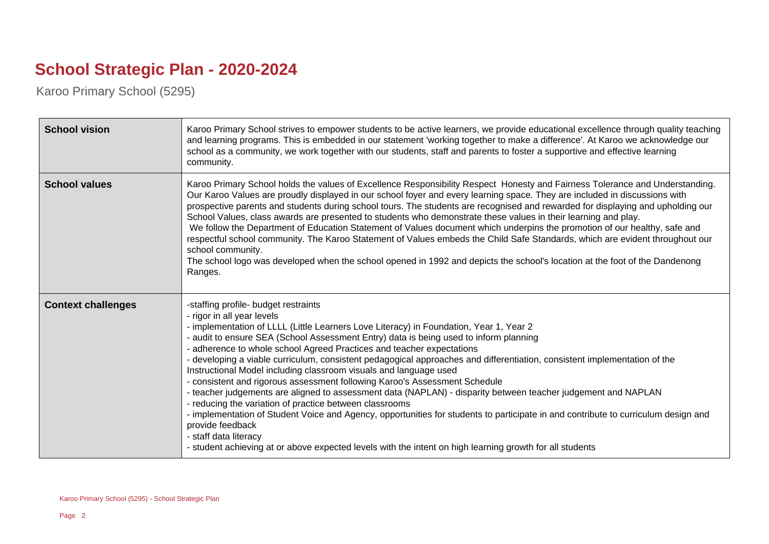## **School Strategic Plan - 2020-2024**

Karoo Primary School (5295)

| <b>School vision</b>      | Karoo Primary School strives to empower students to be active learners, we provide educational excellence through quality teaching<br>and learning programs. This is embedded in our statement 'working together to make a difference'. At Karoo we acknowledge our<br>school as a community, we work together with our students, staff and parents to foster a supportive and effective learning<br>community.                                                                                                                                                                                                                                                                                                                                                                                                                                                                                                                                                                                                                                                                     |
|---------------------------|-------------------------------------------------------------------------------------------------------------------------------------------------------------------------------------------------------------------------------------------------------------------------------------------------------------------------------------------------------------------------------------------------------------------------------------------------------------------------------------------------------------------------------------------------------------------------------------------------------------------------------------------------------------------------------------------------------------------------------------------------------------------------------------------------------------------------------------------------------------------------------------------------------------------------------------------------------------------------------------------------------------------------------------------------------------------------------------|
| <b>School values</b>      | Karoo Primary School holds the values of Excellence Responsibility Respect Honesty and Fairness Tolerance and Understanding.<br>Our Karoo Values are proudly displayed in our school foyer and every learning space. They are included in discussions with<br>prospective parents and students during school tours. The students are recognised and rewarded for displaying and upholding our<br>School Values, class awards are presented to students who demonstrate these values in their learning and play.<br>We follow the Department of Education Statement of Values document which underpins the promotion of our healthy, safe and<br>respectful school community. The Karoo Statement of Values embeds the Child Safe Standards, which are evident throughout our<br>school community.<br>The school logo was developed when the school opened in 1992 and depicts the school's location at the foot of the Dandenong<br>Ranges.                                                                                                                                         |
| <b>Context challenges</b> | -staffing profile- budget restraints<br>- rigor in all year levels<br>- implementation of LLLL (Little Learners Love Literacy) in Foundation, Year 1, Year 2<br>audit to ensure SEA (School Assessment Entry) data is being used to inform planning<br>adherence to whole school Agreed Practices and teacher expectations<br>developing a viable curriculum, consistent pedagogical approaches and differentiation, consistent implementation of the<br>Instructional Model including classroom visuals and language used<br>- consistent and rigorous assessment following Karoo's Assessment Schedule<br>- teacher judgements are aligned to assessment data (NAPLAN) - disparity between teacher judgement and NAPLAN<br>- reducing the variation of practice between classrooms<br>- implementation of Student Voice and Agency, opportunities for students to participate in and contribute to curriculum design and<br>provide feedback<br>- staff data literacy<br>- student achieving at or above expected levels with the intent on high learning growth for all students |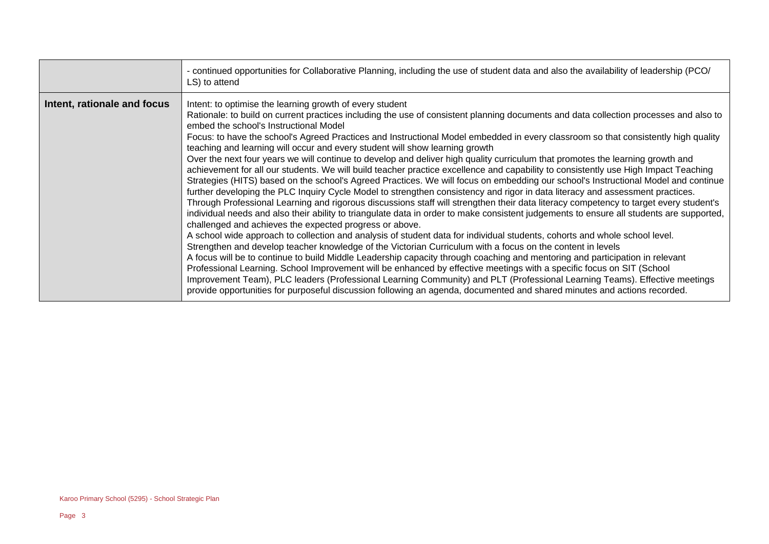|                             | - continued opportunities for Collaborative Planning, including the use of student data and also the availability of leadership (PCO/<br>LS) to attend                                                                                                                                                                                                                                                                                                                                                                                                                                                                                                                                                                                                                                                                                                                                                                                                                                                                                                                                                                                                                                                                                                                                                                                                                                                                                                                                                                                                                                                                                                                                                                                                                                                                                                                                                                                                                                                                                                                                                                           |
|-----------------------------|----------------------------------------------------------------------------------------------------------------------------------------------------------------------------------------------------------------------------------------------------------------------------------------------------------------------------------------------------------------------------------------------------------------------------------------------------------------------------------------------------------------------------------------------------------------------------------------------------------------------------------------------------------------------------------------------------------------------------------------------------------------------------------------------------------------------------------------------------------------------------------------------------------------------------------------------------------------------------------------------------------------------------------------------------------------------------------------------------------------------------------------------------------------------------------------------------------------------------------------------------------------------------------------------------------------------------------------------------------------------------------------------------------------------------------------------------------------------------------------------------------------------------------------------------------------------------------------------------------------------------------------------------------------------------------------------------------------------------------------------------------------------------------------------------------------------------------------------------------------------------------------------------------------------------------------------------------------------------------------------------------------------------------------------------------------------------------------------------------------------------------|
| Intent, rationale and focus | Intent: to optimise the learning growth of every student<br>Rationale: to build on current practices including the use of consistent planning documents and data collection processes and also to<br>embed the school's Instructional Model<br>Focus: to have the school's Agreed Practices and Instructional Model embedded in every classroom so that consistently high quality<br>teaching and learning will occur and every student will show learning growth<br>Over the next four years we will continue to develop and deliver high quality curriculum that promotes the learning growth and<br>achievement for all our students. We will build teacher practice excellence and capability to consistently use High Impact Teaching<br>Strategies (HITS) based on the school's Agreed Practices. We will focus on embedding our school's Instructional Model and continue<br>further developing the PLC Inquiry Cycle Model to strengthen consistency and rigor in data literacy and assessment practices.<br>Through Professional Learning and rigorous discussions staff will strengthen their data literacy competency to target every student's<br>individual needs and also their ability to triangulate data in order to make consistent judgements to ensure all students are supported,<br>challenged and achieves the expected progress or above.<br>A school wide approach to collection and analysis of student data for individual students, cohorts and whole school level.<br>Strengthen and develop teacher knowledge of the Victorian Curriculum with a focus on the content in levels<br>A focus will be to continue to build Middle Leadership capacity through coaching and mentoring and participation in relevant<br>Professional Learning. School Improvement will be enhanced by effective meetings with a specific focus on SIT (School<br>Improvement Team), PLC leaders (Professional Learning Community) and PLT (Professional Learning Teams). Effective meetings<br>provide opportunities for purposeful discussion following an agenda, documented and shared minutes and actions recorded. |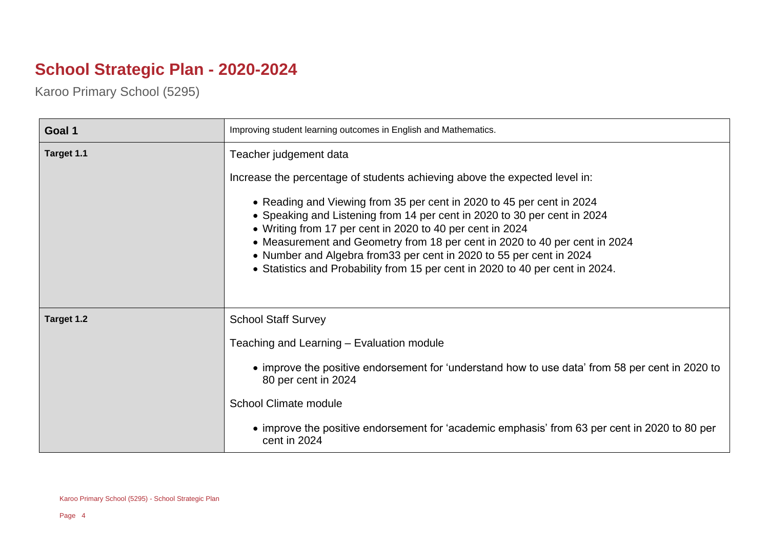## **School Strategic Plan - 2020-2024**

Karoo Primary School (5295)

| Goal 1     | Improving student learning outcomes in English and Mathematics.                                                                                                                                                                                                                                                                                                                                                                                       |
|------------|-------------------------------------------------------------------------------------------------------------------------------------------------------------------------------------------------------------------------------------------------------------------------------------------------------------------------------------------------------------------------------------------------------------------------------------------------------|
| Target 1.1 | Teacher judgement data                                                                                                                                                                                                                                                                                                                                                                                                                                |
|            | Increase the percentage of students achieving above the expected level in:                                                                                                                                                                                                                                                                                                                                                                            |
|            | • Reading and Viewing from 35 per cent in 2020 to 45 per cent in 2024<br>• Speaking and Listening from 14 per cent in 2020 to 30 per cent in 2024<br>• Writing from 17 per cent in 2020 to 40 per cent in 2024<br>• Measurement and Geometry from 18 per cent in 2020 to 40 per cent in 2024<br>• Number and Algebra from 33 per cent in 2020 to 55 per cent in 2024<br>• Statistics and Probability from 15 per cent in 2020 to 40 per cent in 2024. |
| Target 1.2 | <b>School Staff Survey</b>                                                                                                                                                                                                                                                                                                                                                                                                                            |
|            | Teaching and Learning - Evaluation module                                                                                                                                                                                                                                                                                                                                                                                                             |
|            | • improve the positive endorsement for 'understand how to use data' from 58 per cent in 2020 to<br>80 per cent in 2024                                                                                                                                                                                                                                                                                                                                |
|            | <b>School Climate module</b>                                                                                                                                                                                                                                                                                                                                                                                                                          |
|            | • improve the positive endorsement for 'academic emphasis' from 63 per cent in 2020 to 80 per<br>cent in 2024                                                                                                                                                                                                                                                                                                                                         |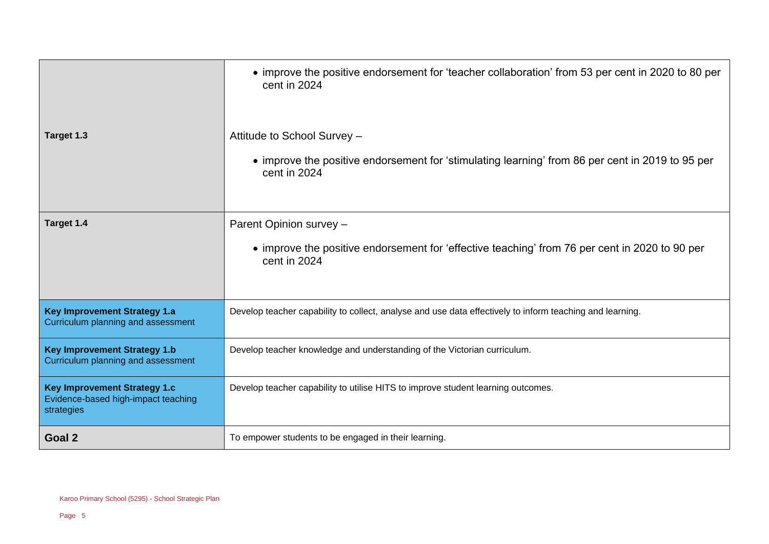|                                                                                          | • improve the positive endorsement for 'teacher collaboration' from 53 per cent in 2020 to 80 per<br>cent in 2024                               |
|------------------------------------------------------------------------------------------|-------------------------------------------------------------------------------------------------------------------------------------------------|
| Target 1.3                                                                               | Attitude to School Survey -<br>• improve the positive endorsement for 'stimulating learning' from 86 per cent in 2019 to 95 per<br>cent in 2024 |
| Target 1.4                                                                               | Parent Opinion survey -<br>• improve the positive endorsement for 'effective teaching' from 76 per cent in 2020 to 90 per<br>cent in 2024       |
| <b>Key Improvement Strategy 1.a</b><br>Curriculum planning and assessment                | Develop teacher capability to collect, analyse and use data effectively to inform teaching and learning.                                        |
| <b>Key Improvement Strategy 1.b</b><br>Curriculum planning and assessment                | Develop teacher knowledge and understanding of the Victorian curriculum.                                                                        |
| <b>Key Improvement Strategy 1.c</b><br>Evidence-based high-impact teaching<br>strategies | Develop teacher capability to utilise HITS to improve student learning outcomes.                                                                |
| Goal 2                                                                                   | To empower students to be engaged in their learning.                                                                                            |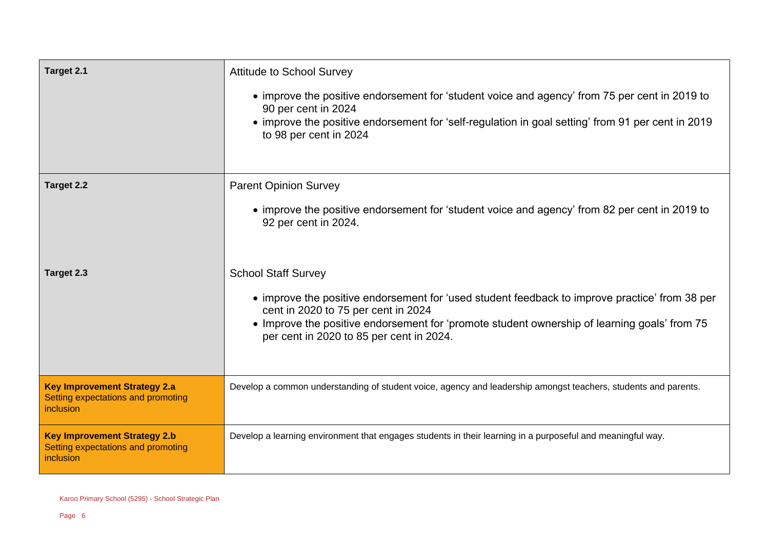| Target 2.1                                                                             | <b>Attitude to School Survey</b><br>• improve the positive endorsement for 'student voice and agency' from 75 per cent in 2019 to<br>90 per cent in 2024<br>• improve the positive endorsement for 'self-regulation in goal setting' from 91 per cent in 2019<br>to 98 per cent in 2024                         |
|----------------------------------------------------------------------------------------|-----------------------------------------------------------------------------------------------------------------------------------------------------------------------------------------------------------------------------------------------------------------------------------------------------------------|
| Target 2.2                                                                             | <b>Parent Opinion Survey</b><br>• improve the positive endorsement for 'student voice and agency' from 82 per cent in 2019 to<br>92 per cent in 2024.                                                                                                                                                           |
| Target 2.3                                                                             | <b>School Staff Survey</b><br>• improve the positive endorsement for 'used student feedback to improve practice' from 38 per<br>cent in 2020 to 75 per cent in 2024<br>• Improve the positive endorsement for 'promote student ownership of learning goals' from 75<br>per cent in 2020 to 85 per cent in 2024. |
| <b>Key Improvement Strategy 2.a</b><br>Setting expectations and promoting<br>inclusion | Develop a common understanding of student voice, agency and leadership amongst teachers, students and parents.                                                                                                                                                                                                  |
| <b>Key Improvement Strategy 2.b</b><br>Setting expectations and promoting<br>inclusion | Develop a learning environment that engages students in their learning in a purposeful and meaningful way.                                                                                                                                                                                                      |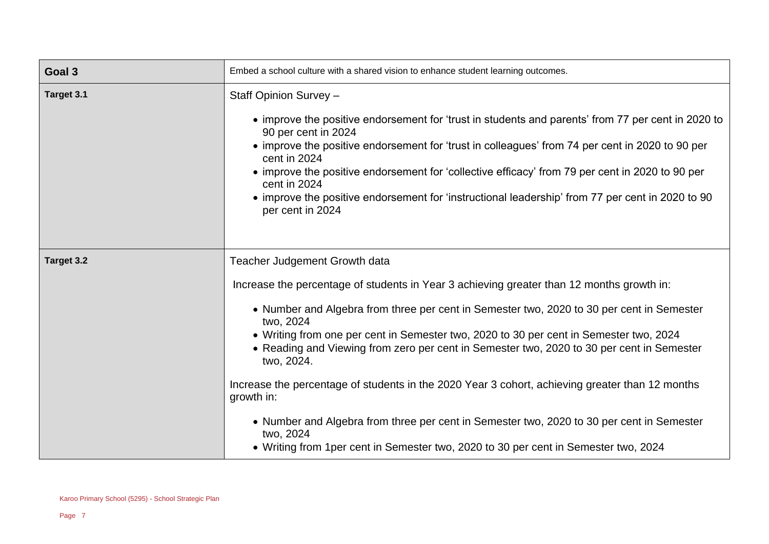| Goal 3     | Embed a school culture with a shared vision to enhance student learning outcomes.                                                                                                                 |
|------------|---------------------------------------------------------------------------------------------------------------------------------------------------------------------------------------------------|
| Target 3.1 | Staff Opinion Survey -                                                                                                                                                                            |
|            | • improve the positive endorsement for 'trust in students and parents' from 77 per cent in 2020 to<br>90 per cent in 2024                                                                         |
|            | • improve the positive endorsement for 'trust in colleagues' from 74 per cent in 2020 to 90 per<br>cent in 2024                                                                                   |
|            | • improve the positive endorsement for 'collective efficacy' from 79 per cent in 2020 to 90 per<br>cent in 2024                                                                                   |
|            | • improve the positive endorsement for 'instructional leadership' from 77 per cent in 2020 to 90<br>per cent in 2024                                                                              |
|            |                                                                                                                                                                                                   |
| Target 3.2 | Teacher Judgement Growth data                                                                                                                                                                     |
|            | Increase the percentage of students in Year 3 achieving greater than 12 months growth in:                                                                                                         |
|            | • Number and Algebra from three per cent in Semester two, 2020 to 30 per cent in Semester<br>two, 2024                                                                                            |
|            | • Writing from one per cent in Semester two, 2020 to 30 per cent in Semester two, 2024<br>• Reading and Viewing from zero per cent in Semester two, 2020 to 30 per cent in Semester<br>two, 2024. |
|            | Increase the percentage of students in the 2020 Year 3 cohort, achieving greater than 12 months<br>growth in:                                                                                     |
|            | • Number and Algebra from three per cent in Semester two, 2020 to 30 per cent in Semester<br>two, 2024                                                                                            |
|            | • Writing from 1 per cent in Semester two, 2020 to 30 per cent in Semester two, 2024                                                                                                              |

 $\overline{\phantom{a}}$